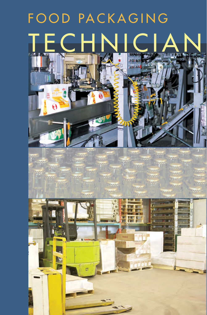